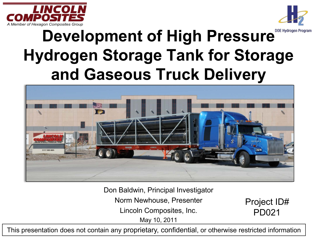



#### **Development of High Pressure** Development **Hydrogen Storage Tank for Storage and Gaseous Truck Delivery**



Don Baldwin, Principal Investigator

Norm Newhouse, Presenter

Lincoln Composites, Inc.

May 10, 2011

Project ID# PD021

This presentation does not contain any proprietary, confidential, or otherwise restricted information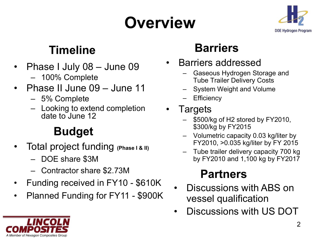# **Overview**



#### **Timeline**

- Phase I July 08 June 09 – 100% Complete
- Phase II June 09 June 11
	- 5% Complete
	- Looking to extend completion date to June 12

#### **Budget**

- Total project funding **(Phase I & II)**
	- DOE share \$3M
	- Contractor share \$2.73M
- Funding received in FY10 \$610K
- Planned Funding for FY11 \$900K

#### **Barriers**

- Barriers addressed
	- Gaseous Hydrogen Storage and Tube Trailer Delivery Costs
	- System Weight and Volume
	- **Efficiency**
- **Targets** 
	- \$500/kg of H2 stored by FY2010, \$300/kg by FY2015
	- Volumetric capacity 0.03 kg/liter by FY2010, >0.035 kg/liter by FY 2015
	- Tube trailer delivery capacity 700 kg by FY2010 and 1,100 kg by FY2017

#### **Partners**

- Discussions with ABS on vessel qualification
- Discussions with US DOT

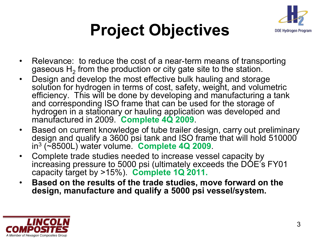

## **Project Objectives**

- Relevance: to reduce the cost of a near-term means of transporting gaseous  $H<sub>2</sub>$  from the production or city gate site to the station.
- Design and develop the most effective bulk hauling and storage solution for hydrogen in terms of cost, safety, weight, and volumetric efficiency. This will be done by developing and manufacturing a tank and corresponding ISO frame that can be used for the storage of hydrogen in a stationary or hauling application was developed and manufactured in 2009. **Complete 4Q 2009**.
- Based on current knowledge of tube trailer design, carry out preliminary design and qualify a 3600 psi tank and ISO frame that will hold 510000 in3 (~8500L) water volume. **Complete 4Q 2009**.
- Complete trade studies needed to increase vessel capacity by increasing pressure to 5000 psi (ultimately exceeds the DOE's FY01 capacity target by >15%). **Complete 1Q 2011.**
- **Based on the results of the trade studies, move forward on the design, manufacture and qualify a 5000 psi vessel/system.**

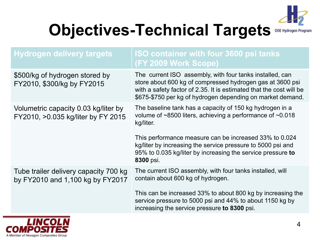

# **Objectives-Technical Targets** DOE Hydrogen Program

| <b>Hydrogen delivery targets</b>                                           | <b>ISO container with four 3600 psi tanks</b><br><b>(FY 2009 Work Scope)</b>                                                                                                                                                                                                                                                                        |
|----------------------------------------------------------------------------|-----------------------------------------------------------------------------------------------------------------------------------------------------------------------------------------------------------------------------------------------------------------------------------------------------------------------------------------------------|
| \$500/kg of hydrogen stored by<br>FY2010, \$300/kg by FY2015               | The current ISO assembly, with four tanks installed, can<br>store about 600 kg of compressed hydrogen gas at 3600 psi<br>with a safety factor of 2.35. It is estimated that the cost will be<br>\$675-\$750 per kg of hydrogen depending on market demand.                                                                                          |
| Volumetric capacity 0.03 kg/liter by<br>FY2010, >0.035 kg/liter by FY 2015 | The baseline tank has a capacity of 150 kg hydrogen in a<br>volume of $\sim$ 8500 liters, achieving a performance of $\sim$ 0.018<br>kg/liter.<br>This performance measure can be increased 33% to 0.024<br>kg/liter by increasing the service pressure to 5000 psi and<br>95% to 0.035 kg/liter by increasing the service pressure to<br>8300 psi. |
| Tube trailer delivery capacity 700 kg<br>by FY2010 and 1,100 kg by FY2017  | The current ISO assembly, with four tanks installed, will<br>contain about 600 kg of hydrogen.<br>This can be increased 33% to about 800 kg by increasing the<br>service pressure to 5000 psi and 44% to about 1150 kg by<br>increasing the service pressure to 8300 psi.                                                                           |

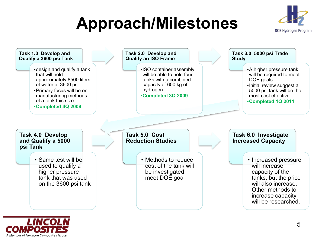## **Approach/Milestones**





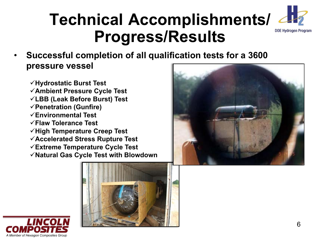#### **Technical Accomplishments/ 442 Progress/Results**

- **Successful completion of all qualification tests for a 3600 pressure vessel**
	- **Hydrostatic Burst Test Ambient Pressure Cycle Test LBB (Leak Before Burst) Test Penetration (Gunfire) Environmental Test Flaw Tolerance Test High Temperature Creep Test Accelerated Stress Rupture Test Extreme Temperature Cycle Test Natural Gas Cycle Test with Blowdown**





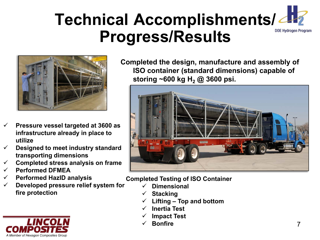#### **Technical Accomplishments/ 242 Progress/Results**



- **Pressure vessel targeted at 3600 as infrastructure already in place to utilize**
- **Designed to meet industry standard transporting dimensions**
- **Completed stress analysis on frame**
- **Performed DFMEA**
- **Performed HazID analysis**
- **Developed pressure relief system for fire protection**



**Completed the design, manufacture and assembly of ISO container (standard dimensions) capable of storing ~600 kg H2 @ 3600 psi.**



**Completed Testing of ISO Container**

- **Dimensional**
- **Stacking**
- **Lifting – Top and bottom**
- **Inertia Test**
- **Impact Test**
- **Bonfire**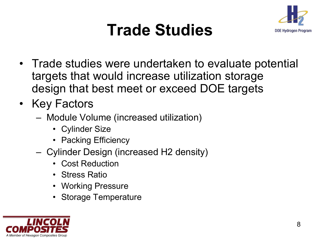

#### **Trade Studies**

- Trade studies were undertaken to evaluate potential targets that would increase utilization storage design that best meet or exceed DOE targets
- Key Factors
	- Module Volume (increased utilization)
		- Cylinder Size
		- Packing Efficiency
	- Cylinder Design (increased H2 density)
		- Cost Reduction
		- Stress Ratio
		- Working Pressure
		- Storage Temperature

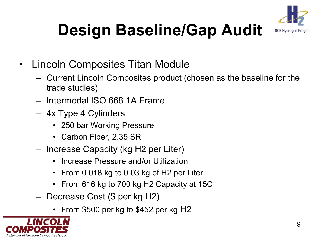

# **Design Baseline/Gap Audit**

- Lincoln Composites Titan Module
	- Current Lincoln Composites product (chosen as the baseline for the trade studies)
	- Intermodal ISO 668 1A Frame
	- 4x Type 4 Cylinders
		- 250 bar Working Pressure
		- Carbon Fiber, 2.35 SR
	- Increase Capacity (kg H2 per Liter)
		- Increase Pressure and/or Utilization
		- From 0.018 kg to 0.03 kg of H2 per Liter
		- From 616 kg to 700 kg H2 Capacity at 15C
	- Decrease Cost (\$ per kg H2)
		- From \$500 per kg to \$452 per kg H2

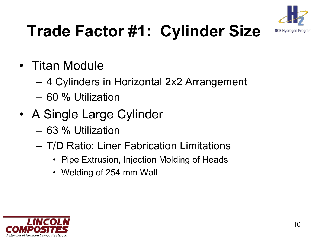

### **Trade Factor #1: Cylinder Size**

- Titan Module
	- 4 Cylinders in Horizontal 2x2 Arrangement
	- 60 % Utilization
- A Single Large Cylinder
	- 63 % Utilization
	- T/D Ratio: Liner Fabrication Limitations
		- Pipe Extrusion, Injection Molding of Heads
		- Welding of 254 mm Wall

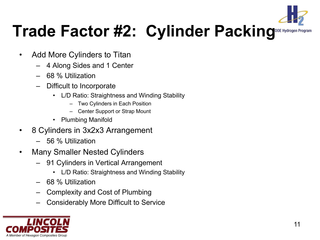

### **Trade Factor #2: Cylinder Packing**DOE Hydrogen

- Add More Cylinders to Titan
	- 4 Along Sides and 1 Center
	- 68 % Utilization
	- Difficult to Incorporate
		- L/D Ratio: Straightness and Winding Stability
			- Two Cylinders in Each Position
			- Center Support or Strap Mount
		- Plumbing Manifold
- 8 Cylinders in 3x2x3 Arrangement
	- 56 % Utilization
- Many Smaller Nested Cylinders
	- 91 Cylinders in Vertical Arrangement
		- L/D Ratio: Straightness and Winding Stability
	- 68 % Utilization
	- Complexity and Cost of Plumbing
	- Considerably More Difficult to Service

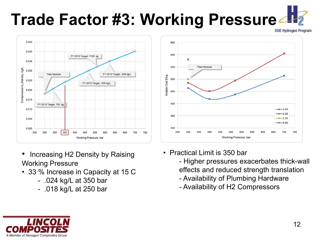# **Trade Factor #3: Working Pressure APY**



- Increasing H2 Density by Raising Working Pressure
- 33 % Increase in Capacity at 15 C
	- .024 kg/L at 350 bar
	- .018 kg/L at 250 bar



- Practical Limit is 350 bar
	- Higher pressures exacerbates thick-wall effects and reduced strength translation
	- Availability of Plumbing Hardware
	- Availability of H2 Compressors

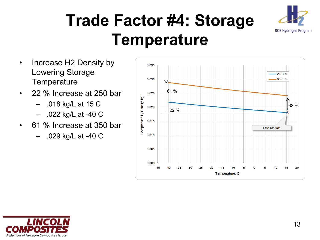#### **Trade Factor #4: Storage Temperature**



- Increase H2 Density by Lowering Storage **Temperature**
- 22 % Increase at 250 bar
	- .018 kg/L at 15 C
	- .022 kg/L at -40 C
- 61 % Increase at 350 bar
	- .029 kg/L at -40 C



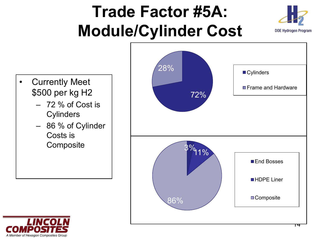### **Trade Factor #5A: Module/Cylinder Cost**





- **Currently Meet** \$500 per kg H2
	- 72 % of Cost is **Cylinders**
	- 86 % of Cylinder Costs is

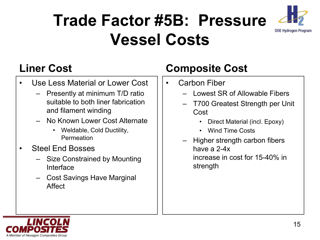#### **Trade Factor #5B: Pressure Vessel Costs**



#### **Liner Cost**

- Use Less Material or Lower Cost
	- Presently at minimum T/D ratio suitable to both liner fabrication and filament winding
	- No Known Lower Cost Alternate
		- Weldable, Cold Ductility, Permeation
- Steel End Bosses
	- Size Constrained by Mounting Interface
	- Cost Savings Have Marginal Affect

#### **Composite Cost**

- Carbon Fiber
	- Lowest SR of Allowable Fibers
	- T700 Greatest Strength per Unit Cost
		- Direct Material (incl. Epoxy)
		- Wind Time Costs
	- Higher strength carbon fibers have a 2-4x increase in cost for 15-40% in strength

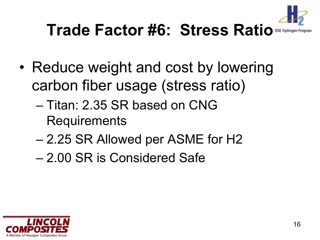

### **Trade Factor #6: Stress Ratio**

- Reduce weight and cost by lowering carbon fiber usage (stress ratio)
	- Titan: 2.35 SR based on CNG Requirements
	- 2.25 SR Allowed per ASME for H2
	- 2.00 SR is Considered Safe

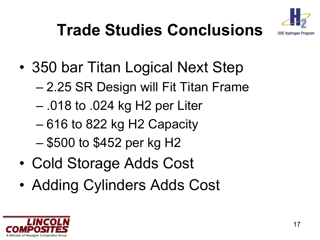

# **Trade Studies Conclusions**

- 350 bar Titan Logical Next Step
	- 2.25 SR Design will Fit Titan Frame
	- .018 to .024 kg H2 per Liter
	- 616 to 822 kg H2 Capacity
	- \$500 to \$452 per kg H2
- Cold Storage Adds Cost
- Adding Cylinders Adds Cost

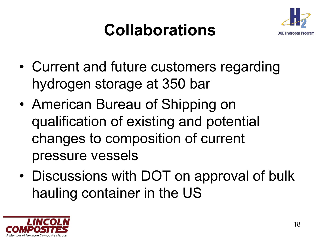## **Collaborations**



- Current and future customers regarding hydrogen storage at 350 bar
- American Bureau of Shipping on qualification of existing and potential changes to composition of current pressure vessels
- Discussions with DOT on approval of bulk hauling container in the US

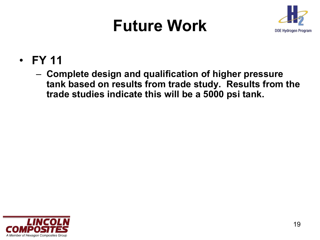#### **Future Work**



- **FY 11**
	- **Complete design and qualification of higher pressure tank based on results from trade study. Results from the trade studies indicate this will be a 5000 psi tank.**